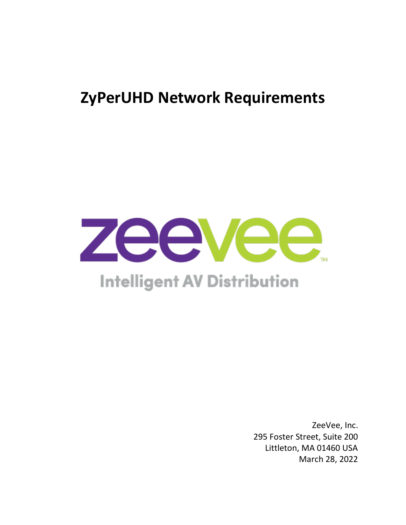# **ZyPerUHD Network Requirements**



# **Intelligent AV Distribution**

ZeeVee, Inc. 295 Foster Street, Suite 200 Littleton, MA 01460 USA March 28, 2022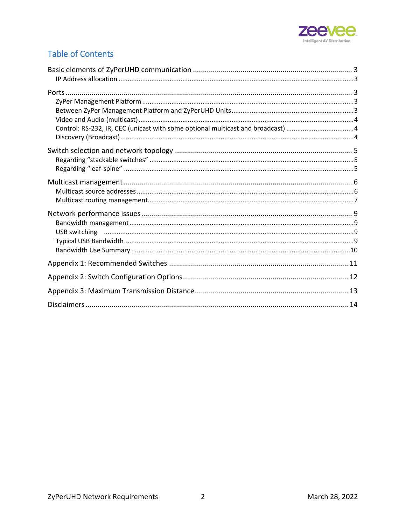

# **Table of Contents**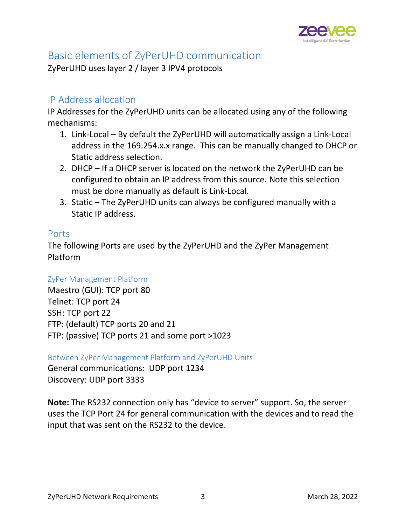

# <span id="page-2-0"></span>Basic elements of ZyPerUHD communication

ZyPerUHD uses layer 2 / layer 3 IPV4 protocols

## <span id="page-2-1"></span>IP Address allocation

IP Addresses for the ZyPerUHD units can be allocated using any of the following mechanisms:

- 1. Link-Local By default the ZyPerUHD will automatically assign a Link-Local address in the 169.254.x.x range. This can be manually changed to DHCP or Static address selection.
- 2. DHCP If a DHCP server is located on the network the ZyPerUHD can be configured to obtain an IP address from this source. Note this selection must be done manually as default is Link-Local.
- 3. Static The ZyPerUHD units can always be configured manually with a Static IP address.

#### <span id="page-2-2"></span>Ports

The following Ports are used by the ZyPerUHD and the ZyPer Management Platform

#### <span id="page-2-3"></span>ZyPer Management Platform

Maestro (GUI): TCP port 80 Telnet: TCP port 24 SSH: TCP port 22 FTP: (default) TCP ports 20 and 21 FTP: (passive) TCP ports 21 and some port >1023

<span id="page-2-4"></span>Between ZyPer Management Platform and ZyPerUHD Units

General communications: UDP port 1234 Discovery: UDP port 3333

**Note:** The RS232 connection only has "device to server" support. So, the server uses the TCP Port 24 for general communication with the devices and to read the input that was sent on the RS232 to the device.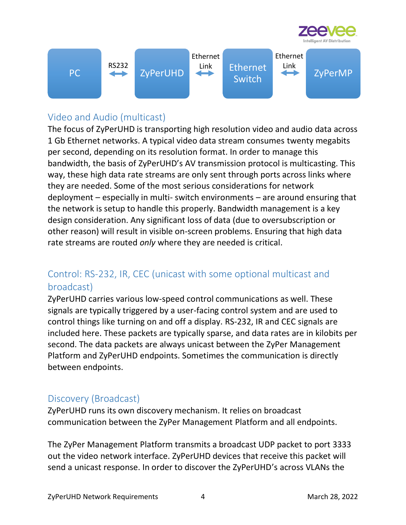



# <span id="page-3-0"></span>Video and Audio (multicast)

The focus of ZyPerUHD is transporting high resolution video and audio data across 1 Gb Ethernet networks. A typical video data stream consumes twenty megabits per second, depending on its resolution format. In order to manage this bandwidth, the basis of ZyPerUHD's AV transmission protocol is multicasting. This way, these high data rate streams are only sent through ports across links where they are needed. Some of the most serious considerations for network deployment – especially in multi- switch environments – are around ensuring that the network is setup to handle this properly. Bandwidth management is a key design consideration. Any significant loss of data (due to oversubscription or other reason) will result in visible on-screen problems. Ensuring that high data rate streams are routed *only* where they are needed is critical.

# <span id="page-3-1"></span>Control: RS-232, IR, CEC (unicast with some optional multicast and broadcast)

ZyPerUHD carries various low-speed control communications as well. These signals are typically triggered by a user-facing control system and are used to control things like turning on and off a display. RS-232, IR and CEC signals are included here. These packets are typically sparse, and data rates are in kilobits per second. The data packets are always unicast between the ZyPer Management Platform and ZyPerUHD endpoints. Sometimes the communication is directly between endpoints.

## <span id="page-3-2"></span>Discovery (Broadcast)

ZyPerUHD runs its own discovery mechanism. It relies on broadcast communication between the ZyPer Management Platform and all endpoints.

The ZyPer Management Platform transmits a broadcast UDP packet to port 3333 out the video network interface. ZyPerUHD devices that receive this packet will send a unicast response. In order to discover the ZyPerUHD's across VLANs the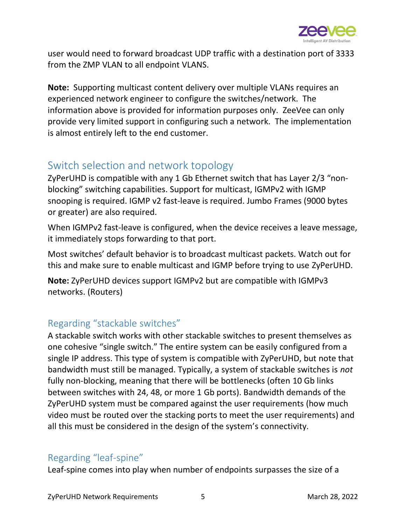

user would need to forward broadcast UDP traffic with a destination port of 3333 from the ZMP VLAN to all endpoint VLANS.

**Note:** Supporting multicast content delivery over multiple VLANs requires an experienced network engineer to configure the switches/network. The information above is provided for information purposes only. ZeeVee can only provide very limited support in configuring such a network. The implementation is almost entirely left to the end customer.

# <span id="page-4-0"></span>Switch selection and network topology

ZyPerUHD is compatible with any 1 Gb Ethernet switch that has Layer 2/3 "nonblocking" switching capabilities. Support for multicast, IGMPv2 with IGMP snooping is required. IGMP v2 fast-leave is required. Jumbo Frames (9000 bytes or greater) are also required.

When IGMPv2 fast-leave is configured, when the device receives a leave message, it immediately stops forwarding to that port.

Most switches' default behavior is to broadcast multicast packets. Watch out for this and make sure to enable multicast and IGMP before trying to use ZyPerUHD.

**Note:** ZyPerUHD devices support IGMPv2 but are compatible with IGMPv3 networks. (Routers)

# <span id="page-4-1"></span>Regarding "stackable switches"

A stackable switch works with other stackable switches to present themselves as one cohesive "single switch." The entire system can be easily configured from a single IP address. This type of system is compatible with ZyPerUHD, but note that bandwidth must still be managed. Typically, a system of stackable switches is *not*  fully non-blocking, meaning that there will be bottlenecks (often 10 Gb links between switches with 24, 48, or more 1 Gb ports). Bandwidth demands of the ZyPerUHD system must be compared against the user requirements (how much video must be routed over the stacking ports to meet the user requirements) and all this must be considered in the design of the system's connectivity.

## <span id="page-4-2"></span>Regarding "leaf-spine"

Leaf-spine comes into play when number of endpoints surpasses the size of a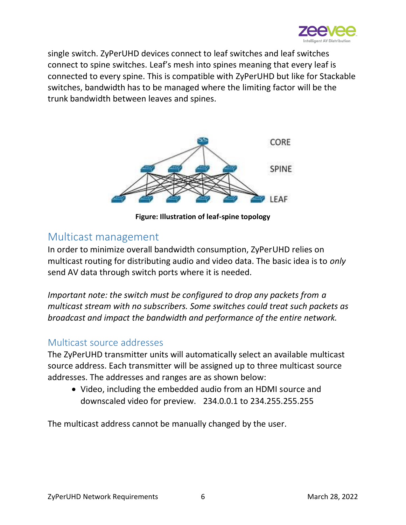

single switch. ZyPerUHD devices connect to leaf switches and leaf switches connect to spine switches. Leaf's mesh into spines meaning that every leaf is connected to every spine. This is compatible with ZyPerUHD but like for Stackable switches, bandwidth has to be managed where the limiting factor will be the trunk bandwidth between leaves and spines.



**Figure: Illustration of leaf-spine topology**

# <span id="page-5-0"></span>Multicast management

In order to minimize overall bandwidth consumption, ZyPerUHD relies on multicast routing for distributing audio and video data. The basic idea is to *only*  send AV data through switch ports where it is needed.

*Important note: the switch must be configured to drop any packets from a multicast stream with no subscribers. Some switches could treat such packets as broadcast and impact the bandwidth and performance of the entire network.* 

### <span id="page-5-1"></span>Multicast source addresses

The ZyPerUHD transmitter units will automatically select an available multicast source address. Each transmitter will be assigned up to three multicast source addresses. The addresses and ranges are as shown below:

• Video, including the embedded audio from an HDMI source and downscaled video for preview. 234.0.0.1 to 234.255.255.255

The multicast address cannot be manually changed by the user.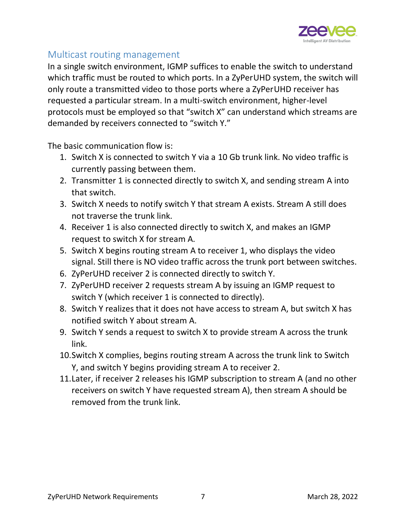

## <span id="page-6-0"></span>Multicast routing management

In a single switch environment, IGMP suffices to enable the switch to understand which traffic must be routed to which ports. In a ZyPerUHD system, the switch will only route a transmitted video to those ports where a ZyPerUHD receiver has requested a particular stream. In a multi-switch environment, higher-level protocols must be employed so that "switch X" can understand which streams are demanded by receivers connected to "switch Y."

The basic communication flow is:

- 1. Switch X is connected to switch Y via a 10 Gb trunk link. No video traffic is currently passing between them.
- 2. Transmitter 1 is connected directly to switch X, and sending stream A into that switch.
- 3. Switch X needs to notify switch Y that stream A exists. Stream A still does not traverse the trunk link.
- 4. Receiver 1 is also connected directly to switch X, and makes an IGMP request to switch X for stream A.
- 5. Switch X begins routing stream A to receiver 1, who displays the video signal. Still there is NO video traffic across the trunk port between switches.
- 6. ZyPerUHD receiver 2 is connected directly to switch Y.
- 7. ZyPerUHD receiver 2 requests stream A by issuing an IGMP request to switch Y (which receiver 1 is connected to directly).
- 8. Switch Y realizes that it does not have access to stream A, but switch X has notified switch Y about stream A.
- 9. Switch Y sends a request to switch X to provide stream A across the trunk link.
- 10.Switch X complies, begins routing stream A across the trunk link to Switch Y, and switch Y begins providing stream A to receiver 2.
- 11.Later, if receiver 2 releases his IGMP subscription to stream A (and no other receivers on switch Y have requested stream A), then stream A should be removed from the trunk link.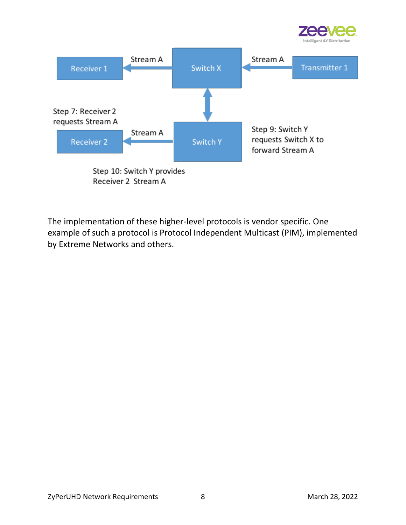



Receiver 2 Stream A

The implementation of these higher-level protocols is vendor specific. One example of such a protocol is Protocol Independent Multicast (PIM), implemented by Extreme Networks and others.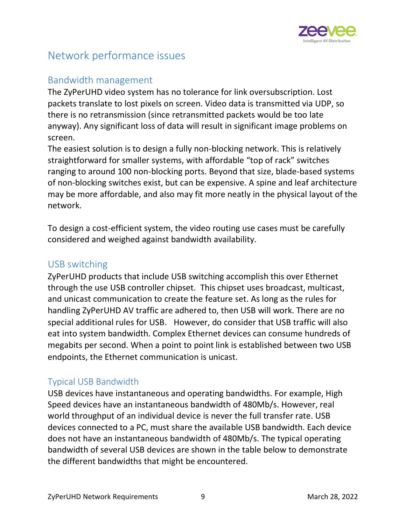

# <span id="page-8-0"></span>Network performance issues

## <span id="page-8-1"></span>Bandwidth management

The ZyPerUHD video system has no tolerance for link oversubscription. Lost packets translate to lost pixels on screen. Video data is transmitted via UDP, so there is no retransmission (since retransmitted packets would be too late anyway). Any significant loss of data will result in significant image problems on screen.

The easiest solution is to design a fully non-blocking network. This is relatively straightforward for smaller systems, with affordable "top of rack" switches ranging to around 100 non-blocking ports. Beyond that size, blade-based systems of non-blocking switches exist, but can be expensive. A spine and leaf architecture may be more affordable, and also may fit more neatly in the physical layout of the network.

To design a cost-efficient system, the video routing use cases must be carefully considered and weighed against bandwidth availability.

#### <span id="page-8-2"></span>USB switching

ZyPerUHD products that include USB switching accomplish this over Ethernet through the use USB controller chipset. This chipset uses broadcast, multicast, and unicast communication to create the feature set. As long as the rules for handling ZyPerUHD AV traffic are adhered to, then USB will work. There are no special additional rules for USB. However, do consider that USB traffic will also eat into system bandwidth. Complex Ethernet devices can consume hundreds of megabits per second. When a point to point link is established between two USB endpoints, the Ethernet communication is unicast.

#### <span id="page-8-3"></span>Typical USB Bandwidth

USB devices have instantaneous and operating bandwidths. For example, High Speed devices have an instantaneous bandwidth of 480Mb/s. However, real world throughput of an individual device is never the full transfer rate. USB devices connected to a PC, must share the available USB bandwidth. Each device does not have an instantaneous bandwidth of 480Mb/s. The typical operating bandwidth of several USB devices are shown in the table below to demonstrate the different bandwidths that might be encountered.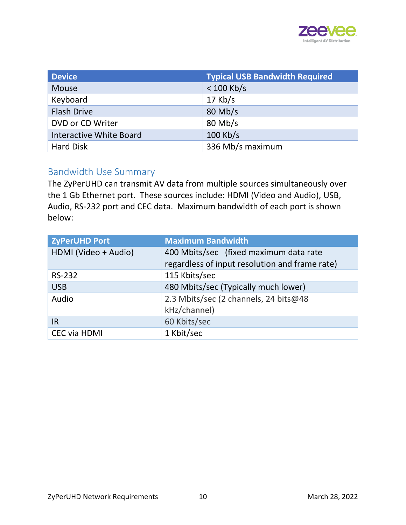

| <b>Device</b>                  | <b>Typical USB Bandwidth Required</b> |
|--------------------------------|---------------------------------------|
| <b>Mouse</b>                   | $< 100$ Kb/s                          |
| Keyboard                       | $17$ Kb/s                             |
| <b>Flash Drive</b>             | 80 Mb/s                               |
| DVD or CD Writer               | $80$ Mb/s                             |
| <b>Interactive White Board</b> | $100$ Kb/s                            |
| <b>Hard Disk</b>               | 336 Mb/s maximum                      |

### <span id="page-9-0"></span>Bandwidth Use Summary

The ZyPerUHD can transmit AV data from multiple sources simultaneously over the 1 Gb Ethernet port. These sources include: HDMI (Video and Audio), USB, Audio, RS-232 port and CEC data. Maximum bandwidth of each port is shown below:

| ZyPerUHD Port        | <b>Maximum Bandwidth</b>                       |
|----------------------|------------------------------------------------|
| HDMI (Video + Audio) | 400 Mbits/sec (fixed maximum data rate         |
|                      | regardless of input resolution and frame rate) |
| <b>RS-232</b>        | 115 Kbits/sec                                  |
| <b>USB</b>           | 480 Mbits/sec (Typically much lower)           |
| Audio                | 2.3 Mbits/sec (2 channels, 24 bits@48          |
|                      | kHz/channel)                                   |
| <b>IR</b>            | 60 Kbits/sec                                   |
| <b>CEC via HDMI</b>  | 1 Kbit/sec                                     |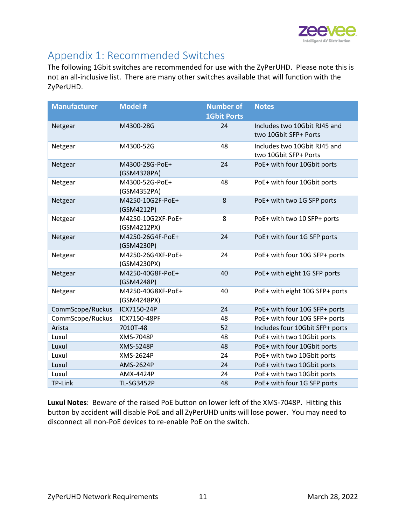

# <span id="page-10-0"></span>Appendix 1: Recommended Switches

The following 1Gbit switches are recommended for use with the ZyPerUHD. Please note this is not an all-inclusive list. There are many other switches available that will function with the ZyPerUHD.

| <b>Manufacturer</b> | <b>Model #</b>                   | <b>Number of</b><br><b>1Gbit Ports</b> | <b>Notes</b>                                          |
|---------------------|----------------------------------|----------------------------------------|-------------------------------------------------------|
| Netgear             | M4300-28G                        | 24                                     | Includes two 10Gbit RJ45 and<br>two 10Gbit SFP+ Ports |
| Netgear             | M4300-52G                        | 48                                     | Includes two 10Gbit RJ45 and<br>two 10Gbit SFP+ Ports |
| Netgear             | M4300-28G-PoE+<br>(GSM4328PA)    | 24                                     | PoE+ with four 10Gbit ports                           |
| Netgear             | M4300-52G-PoE+<br>(GSM4352PA)    | 48                                     | PoE+ with four 10Gbit ports                           |
| Netgear             | M4250-10G2F-PoE+<br>(GSM4212P)   | 8                                      | PoE+ with two 1G SFP ports                            |
| Netgear             | M4250-10G2XF-PoE+<br>(GSM4212PX) | 8                                      | PoE+ with two 10 SFP+ ports                           |
| Netgear             | M4250-26G4F-PoE+<br>(GSM4230P)   | 24                                     | PoE+ with four 1G SFP ports                           |
| Netgear             | M4250-26G4XF-PoE+<br>(GSM4230PX) | 24                                     | PoE+ with four 10G SFP+ ports                         |
| Netgear             | M4250-40G8F-PoE+<br>(GSM4248P)   | 40                                     | PoE+ with eight 1G SFP ports                          |
| Netgear             | M4250-40G8XF-PoE+<br>(GSM4248PX) | 40                                     | PoE+ with eight 10G SFP+ ports                        |
| CommScope/Ruckus    | ICX7150-24P                      | 24                                     | PoE+ with four 10G SFP+ ports                         |
| CommScope/Ruckus    | ICX7150-48PF                     | 48                                     | PoE+ with four 10G SFP+ ports                         |
| Arista              | 7010T-48                         | 52                                     | Includes four 10Gbit SFP+ ports                       |
| Luxul               | XMS-7048P                        | 48                                     | PoE+ with two 10Gbit ports                            |
| Luxul               | <b>XMS-5248P</b>                 | 48                                     | PoE+ with four 10Gbit ports                           |
| Luxul               | XMS-2624P                        | 24                                     | PoE+ with two 10Gbit ports                            |
| Luxul               | AMS-2624P                        | 24                                     | PoE+ with two 10Gbit ports                            |
| Luxul               | AMX-4424P                        | 24                                     | PoE+ with two 10Gbit ports                            |
| TP-Link             | <b>TL-SG3452P</b>                | 48                                     | PoE+ with four 1G SFP ports                           |

**Luxul Notes**: Beware of the raised PoE button on lower left of the XMS-7048P. Hitting this button by accident will disable PoE and all ZyPerUHD units will lose power. You may need to disconnect all non-PoE devices to re-enable PoE on the switch.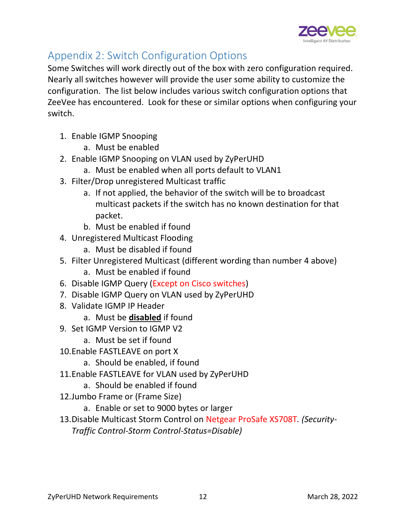

# <span id="page-11-0"></span>Appendix 2: Switch Configuration Options

Some Switches will work directly out of the box with zero configuration required. Nearly all switches however will provide the user some ability to customize the configuration. The list below includes various switch configuration options that ZeeVee has encountered. Look for these or similar options when configuring your switch.

- 1. Enable IGMP Snooping
	- a. Must be enabled
- 2. Enable IGMP Snooping on VLAN used by ZyPerUHD
	- a. Must be enabled when all ports default to VLAN1
- 3. Filter/Drop unregistered Multicast traffic
	- a. If not applied, the behavior of the switch will be to broadcast multicast packets if the switch has no known destination for that packet.
	- b. Must be enabled if found
- 4. Unregistered Multicast Flooding
	- a. Must be disabled if found
- 5. Filter Unregistered Multicast (different wording than number 4 above) a. Must be enabled if found
- 6. Disable IGMP Query (Except on Cisco switches)
- 7. Disable IGMP Query on VLAN used by ZyPerUHD
- 8. Validate IGMP IP Header
	- a. Must be **disabled** if found
- 9. Set IGMP Version to IGMP V2
	- a. Must be set if found
- 10.Enable FASTLEAVE on port X
	- a. Should be enabled, if found
- 11.Enable FASTLEAVE for VLAN used by ZyPerUHD
	- a. Should be enabled if found
- 12.Jumbo Frame or (Frame Size)
	- a. Enable or set to 9000 bytes or larger
- 13.Disable Multicast Storm Control on Netgear ProSafe XS708T*. (Security-Traffic Control-Storm Control-Status=Disable)*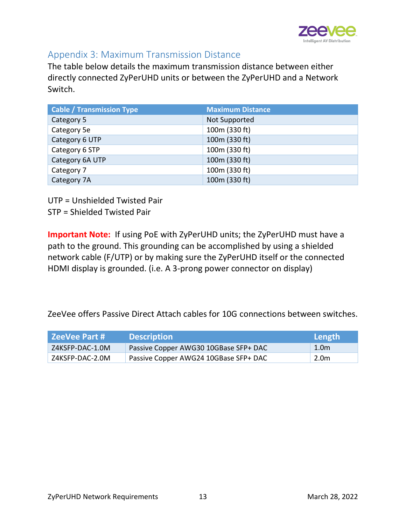

### <span id="page-12-0"></span>Appendix 3: Maximum Transmission Distance

The table below details the maximum transmission distance between either directly connected ZyPerUHD units or between the ZyPerUHD and a Network Switch.

| <b>Cable / Transmission Type</b> | <b>Maximum Distance</b> |
|----------------------------------|-------------------------|
| Category 5                       | Not Supported           |
| Category 5e                      | 100m (330 ft)           |
| Category 6 UTP                   | 100m (330 ft)           |
| Category 6 STP                   | 100m (330 ft)           |
| Category 6A UTP                  | 100m (330 ft)           |
| Category 7                       | 100m (330 ft)           |
| Category 7A                      | 100m (330 ft)           |

UTP = Unshielded Twisted Pair

STP = Shielded Twisted Pair

**Important Note:** If using PoE with ZyPerUHD units; the ZyPerUHD must have a path to the ground. This grounding can be accomplished by using a shielded network cable (F/UTP) or by making sure the ZyPerUHD itself or the connected HDMI display is grounded. (i.e. A 3-prong power connector on display)

ZeeVee offers Passive Direct Attach cables for 10G connections between switches.

| ZeeVee Part # ' | <b>Description</b>                    | Length! |
|-----------------|---------------------------------------|---------|
| Z4KSFP-DAC-1.0M | Passive Copper AWG30 10GBase SFP+ DAC | 1.0m    |
| Z4KSFP-DAC-2.0M | Passive Copper AWG24 10GBase SFP+ DAC | 2.0m    |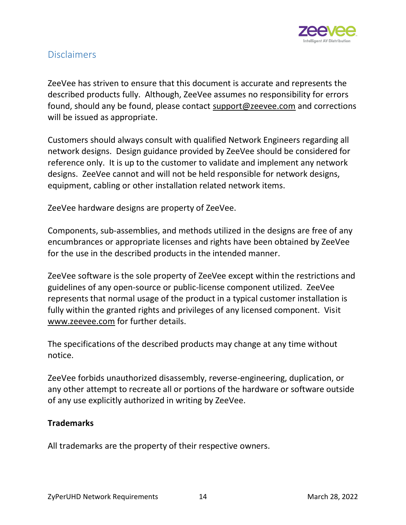

### <span id="page-13-0"></span>Disclaimers

ZeeVee has striven to ensure that this document is accurate and represents the described products fully. Although, ZeeVee assumes no responsibility for errors found, should any be found, please contact [support@zeevee.com](mailto:support@zeevee.com) and corrections will be issued as appropriate.

Customers should always consult with qualified Network Engineers regarding all network designs. Design guidance provided by ZeeVee should be considered for reference only. It is up to the customer to validate and implement any network designs. ZeeVee cannot and will not be held responsible for network designs, equipment, cabling or other installation related network items.

ZeeVee hardware designs are property of ZeeVee.

Components, sub-assemblies, and methods utilized in the designs are free of any encumbrances or appropriate licenses and rights have been obtained by ZeeVee for the use in the described products in the intended manner.

ZeeVee software is the sole property of ZeeVee except within the restrictions and guidelines of any open-source or public-license component utilized. ZeeVee represents that normal usage of the product in a typical customer installation is fully within the granted rights and privileges of any licensed component. Visit [www.zeevee.com](http://www.zeevee.com/) for further details.

The specifications of the described products may change at any time without notice.

ZeeVee forbids unauthorized disassembly, reverse-engineering, duplication, or any other attempt to recreate all or portions of the hardware or software outside of any use explicitly authorized in writing by ZeeVee.

#### **Trademarks**

All trademarks are the property of their respective owners.